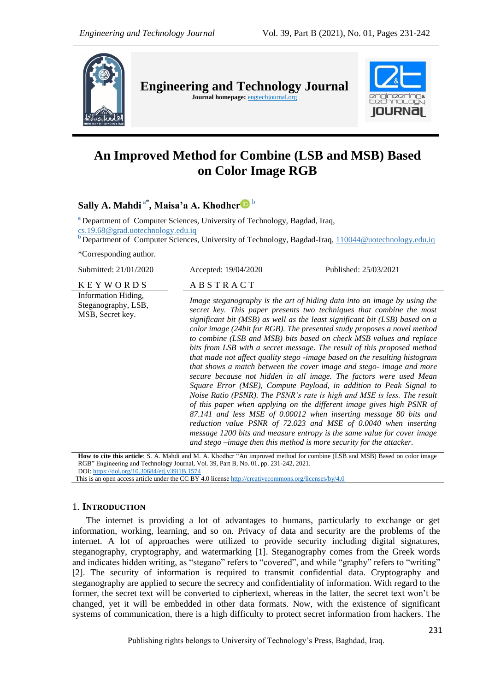

# **An Improved Method for Combine (LSB and MSB) Based on Color Image RGB**

**Sally A. Mahdi** a\* **, Maisa'a A. Khodher** <sup>b</sup>

**<sup>a</sup>** Department of Computer Sciences, University of Technology, Bagdad, Iraq,

cs.19.68@grad.uotechnology.edu.iq

**<sup>b</sup>** Department of Computer Sciences, University of Technology, Bagdad-Iraq, 110044@uotechnology.edu.iq

\*Corresponding author.

| Submitted: 21/01/2020                                          | Accepted: 19/04/2020                                                                                                                                                                                                                                                                                                                                                                                                                                                                                                                                                                                                                                                                                                                                                                                                                                                                                                                                                                                                                                                                                                                                                                                              | Published: 25/03/2021 |
|----------------------------------------------------------------|-------------------------------------------------------------------------------------------------------------------------------------------------------------------------------------------------------------------------------------------------------------------------------------------------------------------------------------------------------------------------------------------------------------------------------------------------------------------------------------------------------------------------------------------------------------------------------------------------------------------------------------------------------------------------------------------------------------------------------------------------------------------------------------------------------------------------------------------------------------------------------------------------------------------------------------------------------------------------------------------------------------------------------------------------------------------------------------------------------------------------------------------------------------------------------------------------------------------|-----------------------|
| <b>KEYWORDS</b>                                                | ABSTRACT                                                                                                                                                                                                                                                                                                                                                                                                                                                                                                                                                                                                                                                                                                                                                                                                                                                                                                                                                                                                                                                                                                                                                                                                          |                       |
| Information Hiding,<br>Steganography, LSB,<br>MSB, Secret key. | Image steganography is the art of hiding data into an image by using the<br>secret key. This paper presents two techniques that combine the most<br>significant bit (MSB) as well as the least significant bit (LSB) based on a<br>color image (24bit for RGB). The presented study proposes a novel method<br>to combine (LSB and MSB) bits based on check MSB values and replace<br>bits from LSB with a secret message. The result of this proposed method<br>that made not affect quality stego -image based on the resulting histogram<br>that shows a match between the cover image and stego- image and more<br>secure because not hidden in all image. The factors were used Mean<br>Square Error (MSE), Compute Payload, in addition to Peak Signal to<br>Noise Ratio (PSNR). The PSNR's rate is high and MSE is less. The result<br>of this paper when applying on the different image gives high PSNR of<br>87.141 and less MSE of 0.00012 when inserting message 80 bits and<br>reduction value PSNR of 72.023 and MSE of 0.0040 when inserting<br>message 1200 bits and measure entropy is the same value for cover image<br>and stego $-$ image then this method is more security for the attacker. |                       |

**How to cite this article**: S. A. Mahdi and M. A. Khodher "An improved method for combine (LSB and MSB) Based on color image RGB" Engineering and Technology Journal, Vol. 39, Part B, No. 01, pp. 231-242, 2021. DOI: <https://doi.org/10.30684/etj.v39i1B.1574>

This is an open access article under the CC BY 4.0 licens[e http://creativecommons.org/licenses/by/4.0](http://creativecommons.org/licenses/by/4.0)

## 1. **INTRODUCTION**

The internet is providing a lot of advantages to humans, particularly to exchange or get information, working, learning, and so on. Privacy of data and security are the problems of the internet. A lot of approaches were utilized to provide security including digital signatures, steganography, cryptography, and watermarking [1]. Steganography comes from the Greek words and indicates hidden writing, as "stegano" refers to "covered", and while "graphy" refers to "writing" [2]. The security of information is required to transmit confidential data. Cryptography and steganography are applied to secure the secrecy and confidentiality of information. With regard to the former, the secret text will be converted to ciphertext, whereas in the latter, the secret text won"t be changed, yet it will be embedded in other data formats. Now, with the existence of significant systems of communication, there is a high difficulty to protect secret information from hackers. The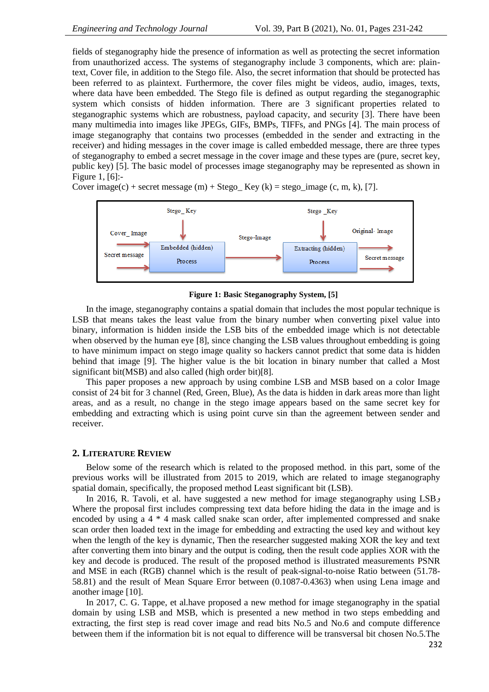fields of steganography hide the presence of information as well as protecting the secret information from unauthorized access. The systems of steganography include 3 components, which are: plaintext, Cover file, in addition to the Stego file. Also, the secret information that should be protected has been referred to as plaintext. Furthermore, the cover files might be videos, audio, images, texts, where data have been embedded. The Stego file is defined as output regarding the steganographic system which consists of hidden information. There are 3 significant properties related to steganographic systems which are robustness, payload capacity, and security [3]. There have been many multimedia into images like JPEGs, GIFs, BMPs, TIFFs, and PNGs [4]. The main process of image steganography that contains two processes (embedded in the sender and extracting in the receiver) and hiding messages in the cover image is called embedded message, there are three types of steganography to embed a secret message in the cover image and these types are (pure, secret key, public key) [5]. The basic model of processes image steganography may be represented as shown in Figure 1, [6]:-

Cover image(c) + secret message (m) + Stego\_ Key (k) = stego\_image (c, m, k), [7].



**Figure 1: Basic Steganography System, [5]**

In the image, steganography contains a spatial domain that includes the most popular technique is LSB that means takes the least value from the binary number when converting pixel value into binary, information is hidden inside the LSB bits of the embedded image which is not detectable when observed by the human eye [8], since changing the LSB values throughout embedding is going to have minimum impact on stego image quality so hackers cannot predict that some data is hidden behind that image [9]. The higher value is the bit location in binary number that called a Most significant bit(MSB) and also called (high order bit)[8].

This paper proposes a new approach by using combine LSB and MSB based on a color Image consist of 24 bit for 3 channel (Red, Green, Blue), As the data is hidden in dark areas more than light areas, and as a result, no change in the stego image appears based on the same secret key for embedding and extracting which is using point curve sin than the agreement between sender and receiver.

## **2. LITERATURE REVIEW**

Below some of the research which is related to the proposed method. in this part, some of the previous works will be illustrated from 2015 to 2019, which are related to image steganography spatial domain, specifically, the proposed method Least significant bit (LSB).

In 2016, R. Tavoli, et al. have suggested a new method for image steganography using LSB<sub>2</sub> Where the proposal first includes compressing text data before hiding the data in the image and is encoded by using a 4 \* 4 mask called snake scan order, after implemented compressed and snake scan order then loaded text in the image for embedding and extracting the used key and without key when the length of the key is dynamic, Then the researcher suggested making XOR the key and text after converting them into binary and the output is coding, then the result code applies XOR with the key and decode is produced. The result of the proposed method is illustrated measurements PSNR and MSE in each (RGB) channel which is the result of peak-signal-to-noise Ratio between (51.78- 58.81) and the result of Mean Square Error between (0.1087-0.4363) when using Lena image and another image [10].

In 2017, C. G. Tappe, et al.have proposed a new method for image steganography in the spatial domain by using LSB and MSB, which is presented a new method in two steps embedding and extracting, the first step is read cover image and read bits No.5 and No.6 and compute difference between them if the information bit is not equal to difference will be transversal bit chosen No.5.The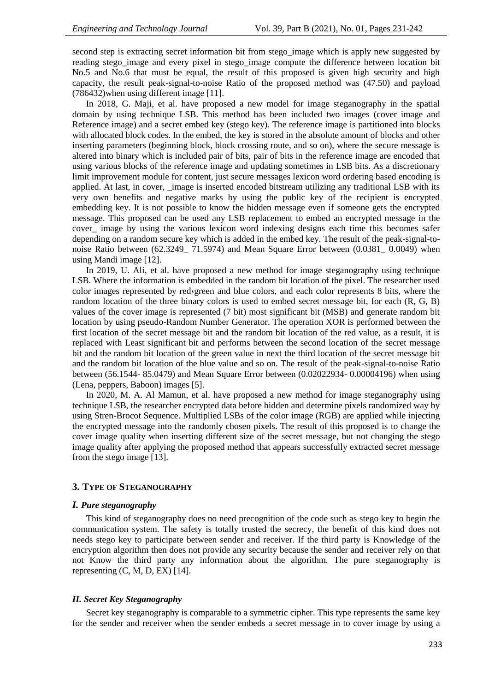second step is extracting secret information bit from stego image which is apply new suggested by reading stego\_image and every pixel in stego\_image compute the difference between location bit No.5 and No.6 that must be equal, the result of this proposed is given high security and high capacity, the result peak-signal-to-noise Ratio of the proposed method was (47.50) and payload (786432)when using different image [11].

In 2018, G. Maji, et al. have proposed a new model for image steganography in the spatial domain by using technique LSB. This method has been included two images (cover image and Reference image) and a secret embed key (stego key). The reference image is partitioned into blocks with allocated block codes. In the embed, the key is stored in the absolute amount of blocks and other inserting parameters (beginning block, block crossing route, and so on), where the secure message is altered into binary which is included pair of bits, pair of bits in the reference image are encoded that using various blocks of the reference image and updating sometimes in LSB bits. As a discretionary limit improvement module for content, just secure messages lexicon word ordering based encoding is applied. At last, in cover, \_image is inserted encoded bitstream utilizing any traditional LSB with its very own benefits and negative marks by using the public key of the recipient is encrypted embedding key. It is not possible to know the hidden message even if someone gets the encrypted message. This proposed can be used any LSB replacement to embed an encrypted message in the cover\_ image by using the various lexicon word indexing designs each time this becomes safer depending on a random secure key which is added in the embed key. The result of the peak-signal-tonoise Ratio between (62.3249\_ 71.5974) and Mean Square Error between (0.0381\_ 0.0049) when using Mandi image [12].

In 2019, U. Ali, et al. have proposed a new method for image steganography using technique LSB. Where the information is embedded in the random bit location of the pixel. The researcher used color images represented by red $q$ reen and blue colors, and each color represents 8 bits, where the random location of the three binary colors is used to embed secret message bit, for each (R, G, B) values of the cover image is represented (7 bit) most significant bit (MSB) and generate random bit location by using pseudo-Random Number Generator. The operation XOR is performed between the first location of the secret message bit and the random bit location of the red value, as a result, it is replaced with Least significant bit and performs between the second location of the secret message bit and the random bit location of the green value in next the third location of the secret message bit and the random bit location of the blue value and so on. The result of the peak-signal-to-noise Ratio between (56.1544- 85.0479) and Mean Square Error between (0.02022934- 0.00004196) when using (Lena, peppers, Baboon) images [5].

In 2020, M. A. Al Mamun, et al. have proposed a new method for image steganography using technique LSB, the researcher encrypted data before hidden and determine pixels randomized way by using Stren-Brocot Sequence. Multiplied LSBs of the color image (RGB) are applied while injecting the encrypted message into the randomly chosen pixels. The result of this proposed is to change the cover image quality when inserting different size of the secret message, but not changing the stego image quality after applying the proposed method that appears successfully extracted secret message from the stego image [13].

#### **3. TYPE OF STEGANOGRAPHY**

## *I. Pure steganography*

This kind of steganography does no need precognition of the code such as stego key to begin the communication system. The safety is totally trusted the secrecy, the benefit of this kind does not needs stego key to participate between sender and receiver. If the third party is Knowledge of the encryption algorithm then does not provide any security because the sender and receiver rely on that not Know the third party any information about the algorithm. The pure steganography is representing  $(C, M, D, EX)$  [14].

#### *II. Secret Key Steganography*

Secret key steganography is comparable to a symmetric cipher. This type represents the same key for the sender and receiver when the sender embeds a secret message in to cover image by using a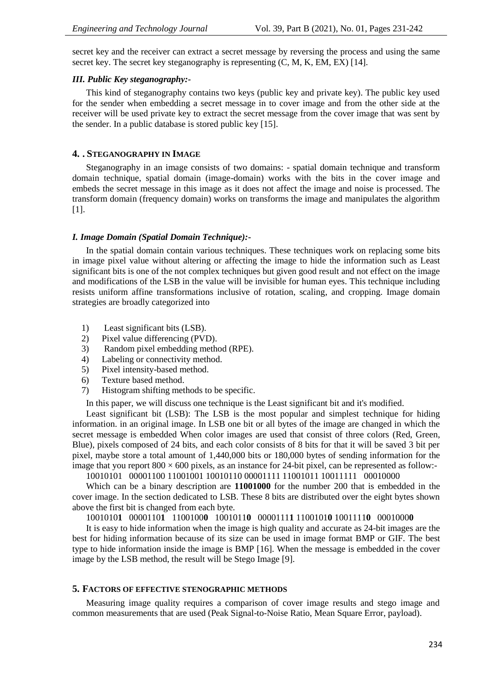secret key and the receiver can extract a secret message by reversing the process and using the same secret key. The secret key steganography is representing (C, M, K, EM, EX) [14].

# *III. Public Key steganography:-*

This kind of steganography contains two keys (public key and private key). The public key used for the sender when embedding a secret message in to cover image and from the other side at the receiver will be used private key to extract the secret message from the cover image that was sent by the sender. In a public database is stored public key [15].

#### **4. . STEGANOGRAPHY IN IMAGE**

Steganography in an image consists of two domains: - spatial domain technique and transform domain technique, spatial domain (image-domain) works with the bits in the cover image and embeds the secret message in this image as it does not affect the image and noise is processed. The transform domain (frequency domain) works on transforms the image and manipulates the algorithm [1].

#### *I. Image Domain (Spatial Domain Technique):-*

In the spatial domain contain various techniques. These techniques work on replacing some bits in image pixel value without altering or affecting the image to hide the information such as Least significant bits is one of the not complex techniques but given good result and not effect on the image and modifications of the LSB in the value will be invisible for human eyes. This technique including resists uniform affine transformations inclusive of rotation, scaling, and cropping. Image domain strategies are broadly categorized into

- 1) Least significant bits (LSB).
- 2) Pixel value differencing (PVD).
- 3) Random pixel embedding method (RPE).
- 4) Labeling or connectivity method.
- 5) Pixel intensity-based method.
- 6) Texture based method.
- 7) Histogram shifting methods to be specific.

In this paper, we will discuss one technique is the Least significant bit and it's modified.

Least significant bit (LSB): The LSB is the most popular and simplest technique for hiding information. in an original image. In LSB one bit or all bytes of the image are changed in which the secret message is embedded When color images are used that consist of three colors (Red, Green, Blue), pixels composed of 24 bits, and each color consists of 8 bits for that it will be saved 3 bit per pixel, maybe store a total amount of 1,440,000 bits or 180,000 bytes of sending information for the image that you report  $800 \times 600$  pixels, as an instance for 24-bit pixel, can be represented as follow:-

10010101 00001100 11001001 10010110 00001111 11001011 10011111 00010000

Which can be a binary description are **11001000** for the number 200 that is embedded in the cover image. In the section dedicated to LSB. These 8 bits are distributed over the eight bytes shown above the first bit is changed from each byte.

1001010**1** 0000110**1** 1100100**0** 1001011**0** 0000111**1** 1100101**0** 1001111**0** 0001000**0**

It is easy to hide information when the image is high quality and accurate as 24-bit images are the best for hiding information because of its size can be used in image format BMP or GIF. The best type to hide information inside the image is BMP [16]. When the message is embedded in the cover image by the LSB method, the result will be Stego Image [9].

# **5. FACTORS OF EFFECTIVE STENOGRAPHIC METHODS**

Measuring image quality requires a comparison of cover image results and stego image and common measurements that are used (Peak Signal-to-Noise Ratio, Mean Square Error, payload).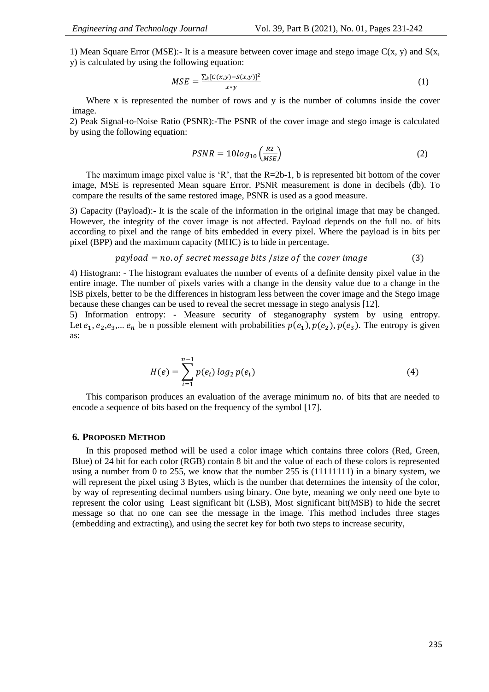1) Mean Square Error (MSE):- It is a measure between cover image and stego image  $C(x, y)$  and  $S(x, y)$ y) is calculated by using the following equation:

$$
MSE = \frac{\sum_{k} [c(x, y) - s(x, y)]^2}{x \cdot y}
$$
 (1)

Where x is represented the number of rows and y is the number of columns inside the cover image.

2) Peak Signal-to-Noise Ratio (PSNR):**-**The PSNR of the cover image and stego image is calculated by using the following equation:

$$
PSNR = 10log_{10}\left(\frac{R2}{MSE}\right) \tag{2}
$$

The maximum image pixel value is 'R', that the  $R=2b-1$ , b is represented bit bottom of the cover image, MSE is represented Mean square Error. PSNR measurement is done in decibels (db). To compare the results of the same restored image, PSNR is used as a good measure.

3) Capacity (Payload):- It is the scale of the information in the original image that may be changed. However, the integrity of the cover image is not affected. Payload depends on the full no. of bits according to pixel and the range of bits embedded in every pixel. Where the payload is in bits per pixel (BPP) and the maximum capacity (MHC) is to hide in percentage.

 $pavidpad = no. of secret message bits / size of the cover image$  (3)

4) Histogram: - The histogram evaluates the number of events of a definite density pixel value in the entire image. The number of pixels varies with a change in the density value due to a change in the lSB pixels, better to be the differences in histogram less between the cover image and the Stego image because these changes can be used to reveal the secret message in stego analysis [12].

5) Information entropy: - Measure security of steganography system by using entropy. Let  $e_1, e_2, e_3,... e_n$  be n possible element with probabilities  $p(e_1), p(e_2), p(e_3)$ . The entropy is given as:

$$
H(e) = \sum_{i=1}^{n-1} p(e_i) \log_2 p(e_i)
$$
 (4)

This comparison produces an evaluation of the average minimum no. of bits that are needed to encode a sequence of bits based on the frequency of the symbol [17].

## **6. PROPOSED METHOD**

In this proposed method will be used a color image which contains three colors (Red, Green, Blue) of 24 bit for each color (RGB) contain 8 bit and the value of each of these colors is represented using a number from 0 to 255, we know that the number 255 is (11111111) in a binary system, we will represent the pixel using 3 Bytes, which is the number that determines the intensity of the color, by way of representing decimal numbers using binary. One byte, meaning we only need one byte to represent the color using Least significant bit (LSB), Most significant bit(MSB) to hide the secret message so that no one can see the message in the image. This method includes three stages (embedding and extracting), and using the secret key for both two steps to increase security,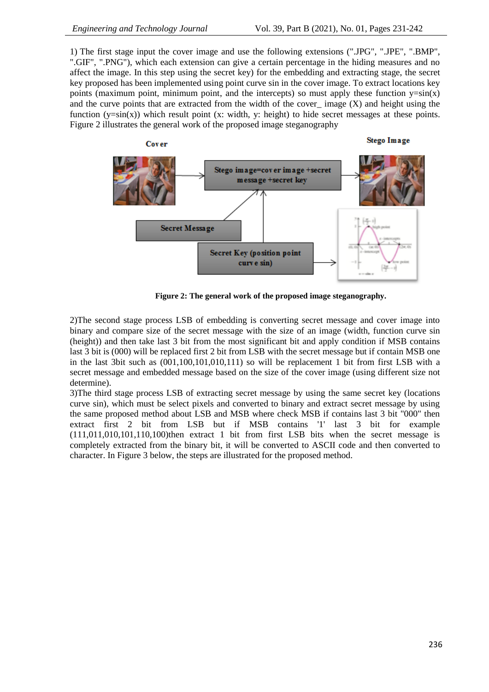1) The first stage input the cover image and use the following extensions (".JPG", ".JPE", ".BMP", ".GIF", ".PNG"), which each extension can give a certain percentage in the hiding measures and no affect the image. In this step using the secret key) for the embedding and extracting stage, the secret key proposed has been implemented using point curve sin in the cover image. To extract locations key points (maximum point, minimum point, and the intercepts) so must apply these function  $y=sin(x)$ and the curve points that are extracted from the width of the cover—image  $(X)$  and height using the function  $(y=sin(x))$  which result point  $(x: width, y: height)$  to hide secret messages at these points. Figure 2 illustrates the general work of the proposed image steganography



**Figure 2: The general work of the proposed image steganography.**

2)The second stage process LSB of embedding is converting secret message and cover image into binary and compare size of the secret message with the size of an image (width, function curve sin (height)) and then take last 3 bit from the most significant bit and apply condition if MSB contains last 3 bit is (000) will be replaced first 2 bit from LSB with the secret message but if contain MSB one in the last 3bit such as (001,100,101,010,111) so will be replacement 1 bit from first LSB with a secret message and embedded message based on the size of the cover image (using different size not determine).

3)The third stage process LSB of extracting secret message by using the same secret key (locations curve sin), which must be select pixels and converted to binary and extract secret message by using the same proposed method about LSB and MSB where check MSB if contains last 3 bit "000" then extract first 2 bit from LSB but if MSB contains '1' last 3 bit for example (111,011,010,101,110,100)then extract 1 bit from first LSB bits when the secret message is completely extracted from the binary bit, it will be converted to ASCII code and then converted to character. In Figure 3 below, the steps are illustrated for the proposed method.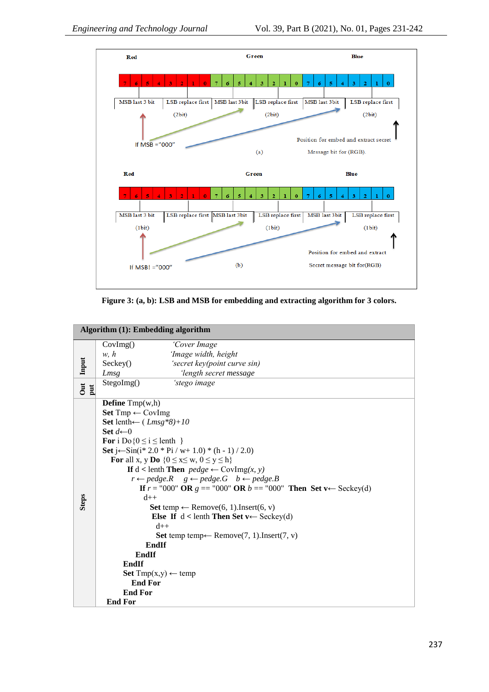

**Figure 3: (a, b): LSB and MSB for embedding and extracting algorithm for 3 colors.**

|                              | Algorithm $(1)$ : Embedding algorithm                         |                                                                                |  |  |  |  |  |
|------------------------------|---------------------------------------------------------------|--------------------------------------------------------------------------------|--|--|--|--|--|
|                              | CovImg()                                                      | 'Cover Image                                                                   |  |  |  |  |  |
|                              | w, h                                                          | 'Image width, height                                                           |  |  |  |  |  |
| Input                        | Seckey()                                                      | 'secret key(point curve sin)                                                   |  |  |  |  |  |
|                              | Lmsg                                                          | 'length secret message                                                         |  |  |  |  |  |
| $\overline{\text{C}}$<br>put | StegoImg()                                                    | 'stego image                                                                   |  |  |  |  |  |
|                              | <b>Define</b> $Tmp(w,h)$                                      |                                                                                |  |  |  |  |  |
|                              | <b>Set</b> $Tmp \leftarrow CovImg$                            |                                                                                |  |  |  |  |  |
|                              | Set lenth $\leftarrow$ (Lmsg*8)+10                            |                                                                                |  |  |  |  |  |
|                              | Set $d \leftarrow 0$                                          |                                                                                |  |  |  |  |  |
|                              | For i Do $\{0 \le i \le \text{lenth }\}$                      |                                                                                |  |  |  |  |  |
|                              | Set j $\leftarrow$ Sin(i* 2.0 * Pi / w+ 1.0) * (h - 1) / 2.0) |                                                                                |  |  |  |  |  |
|                              |                                                               | For all x, y Do { $0 \le x \le w$ , $0 \le y \le h$ }                          |  |  |  |  |  |
|                              | If $d$ < lenth Then $pedge \leftarrow \text{CovImg}(x, y)$    |                                                                                |  |  |  |  |  |
|                              |                                                               | $r \leftarrow pedge.R$ $g \leftarrow pedge.G$ $b \leftarrow pedge.B$           |  |  |  |  |  |
|                              |                                                               | If $r = "000"$ OR $g = "000"$ OR $b = "000"$ Then Set v $\leftarrow$ Seckey(d) |  |  |  |  |  |
| <b>Steps</b>                 | $d++$                                                         |                                                                                |  |  |  |  |  |
|                              |                                                               | <b>Set</b> temp $\leftarrow$ Remove(6, 1). Insert(6, v)                        |  |  |  |  |  |
|                              |                                                               | Else If $d$ < lenth Then Set v $\leftarrow$ Seckey(d)                          |  |  |  |  |  |
|                              |                                                               | $d++$                                                                          |  |  |  |  |  |
|                              |                                                               | Set temp temp← Remove(7, 1).Insert(7, v)                                       |  |  |  |  |  |
|                              |                                                               | EndIf                                                                          |  |  |  |  |  |
|                              | EndIf                                                         |                                                                                |  |  |  |  |  |
|                              | EndIf                                                         |                                                                                |  |  |  |  |  |
|                              | <b>End For</b>                                                | Set Tmp(x,y) ← temp                                                            |  |  |  |  |  |
|                              | <b>End For</b>                                                |                                                                                |  |  |  |  |  |
|                              | <b>End For</b>                                                |                                                                                |  |  |  |  |  |
|                              |                                                               |                                                                                |  |  |  |  |  |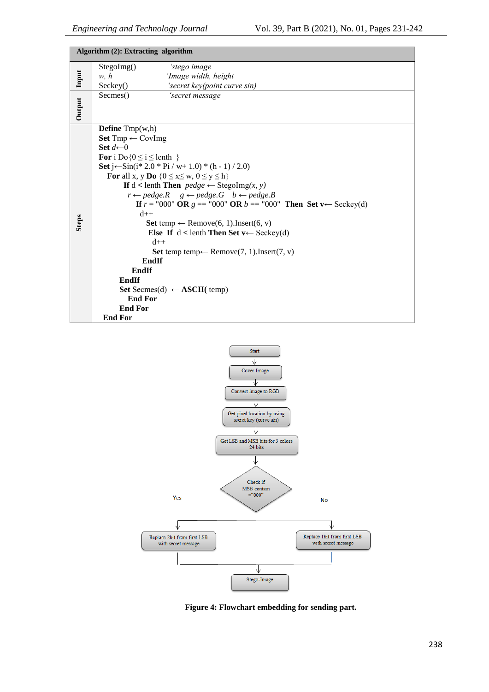|              | Algorithm (2): Extracting algorithm                                        |  |  |  |  |  |  |
|--------------|----------------------------------------------------------------------------|--|--|--|--|--|--|
|              | StegoImg()<br>'stego image                                                 |  |  |  |  |  |  |
| Input        | w, h<br>'Image width, height                                               |  |  |  |  |  |  |
|              | Seckey()<br>'secret key(point curve sin)                                   |  |  |  |  |  |  |
|              | Secmes()<br>'secret message                                                |  |  |  |  |  |  |
| Output       |                                                                            |  |  |  |  |  |  |
|              |                                                                            |  |  |  |  |  |  |
|              | <b>Define</b> $Tmp(w,h)$                                                   |  |  |  |  |  |  |
|              | Set $Tmp \leftarrow CovImg$                                                |  |  |  |  |  |  |
|              | Set $d \leftarrow 0$                                                       |  |  |  |  |  |  |
|              | For i Do $\{0 \le i \le \text{lenth}\}$                                    |  |  |  |  |  |  |
|              | Set $j \leftarrow$ Sin( $i$ * 2.0 * Pi / w+ 1.0) * (h - 1) / 2.0)          |  |  |  |  |  |  |
|              | For all x, y Do $\{0 \le x \le w, 0 \le y \le h\}$                         |  |  |  |  |  |  |
|              | If $d$ < lenth Then $pedge \leftarrow$ StegoImg(x, y)                      |  |  |  |  |  |  |
|              | $r \leftarrow pedge.R$ $g \leftarrow pedge.G$ $b \leftarrow pedge.B$       |  |  |  |  |  |  |
|              | <b>If</b> $r = "000"$ OR $g = "000"$ OR $b == "000"$ Then Set v← Seckey(d) |  |  |  |  |  |  |
|              | $d++$                                                                      |  |  |  |  |  |  |
| <b>Steps</b> | <b>Set</b> temp $\leftarrow$ Remove(6, 1). Insert(6, v)                    |  |  |  |  |  |  |
|              | Else If $d$ < lenth Then Set v $\leftarrow$ Seckey(d)                      |  |  |  |  |  |  |
|              | $d++$                                                                      |  |  |  |  |  |  |
|              | <b>Set</b> temp temp $\leftarrow$ Remove(7, 1). Insert(7, v)<br>EndIf      |  |  |  |  |  |  |
|              | EndIf                                                                      |  |  |  |  |  |  |
|              | EndIf                                                                      |  |  |  |  |  |  |
|              | <b>Set</b> Secmes(d) $\leftarrow$ <b>ASCII</b> (temp)                      |  |  |  |  |  |  |
|              | <b>End For</b>                                                             |  |  |  |  |  |  |
|              | <b>End For</b>                                                             |  |  |  |  |  |  |
|              | <b>End For</b>                                                             |  |  |  |  |  |  |



**Figure 4: Flowchart embedding for sending part.**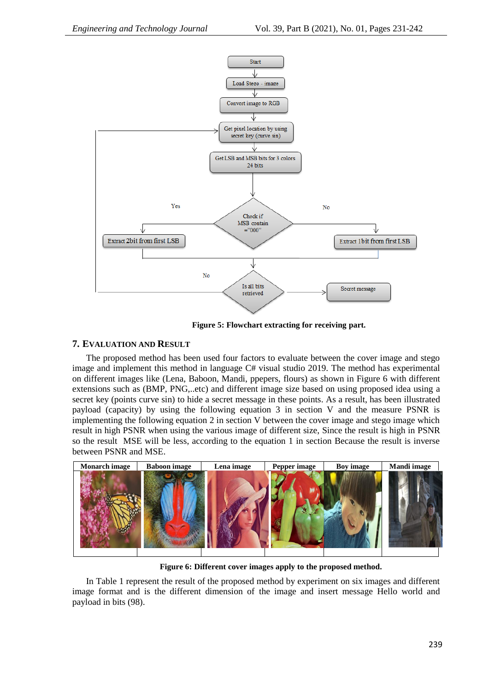

**Figure 5: Flowchart extracting for receiving part.**

# **7. EVALUATION AND RESULT**

The proposed method has been used four factors to evaluate between the cover image and stego image and implement this method in language C# visual studio 2019. The method has experimental on different images like (Lena, Baboon, Mandi, ppepers, flours) as shown in Figure 6 with different extensions such as (BMP, PNG,..etc) and different image size based on using proposed idea using a secret key (points curve sin) to hide a secret message in these points. As a result, has been illustrated payload (capacity) by using the following equation 3 in section V and the measure PSNR is implementing the following equation 2 in section V between the cover image and stego image which result in high PSNR when using the various image of different size, Since the result is high in PSNR so the result MSE will be less, according to the equation 1 in section Because the result is inverse between PSNR and MSE.



**Figure 6: Different cover images apply to the proposed method.**

In Table 1 represent the result of the proposed method by experiment on six images and different image format and is the different dimension of the image and insert message Hello world and payload in bits (98).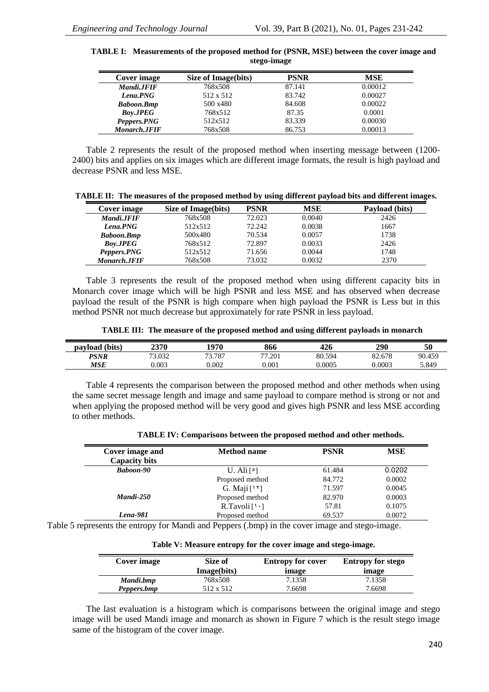| Cover image         | Size of Image(bits) | <b>PSNR</b> | <b>MSE</b> |
|---------------------|---------------------|-------------|------------|
| Mandi.JFIF          | 768x508             | 87.141      | 0.00012    |
| Lena.PNG            | 512 x 512           | 83.742      | 0.00027    |
| <b>Baboon.Bmp</b>   | 500 x480            | 84.608      | 0.00022    |
| <b>Boy.JPEG</b>     | 768x512             | 87.35       | 0.0001     |
| Peppers.PNG         | 512x512             | 83.339      | 0.00030    |
| <b>Monarch.JFIF</b> | 768x508             | 86.753      | 0.00013    |

#### **TABLE I: Measurements of the proposed method for (PSNR, MSE) between the cover image and stego-image**

Table 2 represents the result of the proposed method when inserting message between (1200- 2400) bits and applies on six images which are different image formats, the result is high payload and decrease PSNR and less MSE.

| TABLE II: The measures of the proposed method by using different payload bits and different images. |  |  |  |
|-----------------------------------------------------------------------------------------------------|--|--|--|
|                                                                                                     |  |  |  |

| Cover image         | Size of Image(bits) | <b>PSNR</b> | MSE    | Payload (bits) |
|---------------------|---------------------|-------------|--------|----------------|
| Mandi.JFIF          | 768x508             | 72.023      | 0.0040 | 2426           |
| Lena.PNG            | 512x512             | 72.242      | 0.0038 | 1667           |
| <b>Baboon.Bmp</b>   | 500x480             | 70.534      | 0.0057 | 1738           |
| <b>Boy.JPEG</b>     | 768x512             | 72.897      | 0.0033 | 2426           |
| Peppers.PNG         | 512x512             | 71.656      | 0.0044 | 1748           |
| <b>Monarch.JFIF</b> | 768x508             | 73.032      | 0.0032 | 2370           |

Table 3 represents the result of the proposed method when using different capacity bits in Monarch cover image which will be high PSNR and less MSE and has observed when decrease payload the result of the PSNR is high compare when high payload the PSNR is Less but in this method PSNR not much decrease but approximately for rate PSNR in less payload.

| TABLE III: The measure of the proposed method and using different payloads in monarch |
|---------------------------------------------------------------------------------------|
|---------------------------------------------------------------------------------------|

| payload (bits) | 2370   | 1970   | 866    | 426    | 290    | 50     |
|----------------|--------|--------|--------|--------|--------|--------|
| PSNR           | 73.032 | 73.787 | 77.201 | 80.594 | 82.678 | 90.459 |
| MSE            | 0.003  | 0.002  | 0.001  | 0.0005 | 0.0003 | 5.849  |

Table 4 represents the comparison between the proposed method and other methods when using the same secret message length and image and same payload to compare method is strong or not and when applying the proposed method will be very good and gives high PSNR and less MSE according to other methods.

|  | TABLE IV: Comparisons between the proposed method and other methods. |  |  |  |  |  |
|--|----------------------------------------------------------------------|--|--|--|--|--|
|--|----------------------------------------------------------------------|--|--|--|--|--|

| Cover image and      | <b>Method name</b>           | <b>PSNR</b> | <b>MSE</b> |
|----------------------|------------------------------|-------------|------------|
| <b>Capacity bits</b> |                              |             |            |
| <b>Baboon-90</b>     | U. Ali $\lceil \circ \rceil$ | 61.484      | 0.0202     |
|                      | Proposed method              | 84.772      | 0.0002     |
|                      | G. Maji $[11]$               | 71.597      | 0.0045     |
| Mandi-250            | Proposed method              | 82.970      | 0.0003     |
|                      | $R.Tavoli$ [']               | 57.81       | 0.1075     |
| Lena-981             | Proposed method              | 69.537      | 0.0072     |

Table 5 represents the entropy for Mandi and Peppers (.bmp) in the cover image and stego-image.

| Cover image | Size of     | <b>Entropy for cover</b> | <b>Entropy for stego</b> |
|-------------|-------------|--------------------------|--------------------------|
|             | Image(bits) | image                    | image                    |
| Mandi.bmp   | 768x508     | 7.1358                   | 7.1358                   |
| Peppers.bmp | 512 x 512   | 7.6698                   | 7.6698                   |

**Table V: Measure entropy for the cover image and stego-image.**

The last evaluation is a histogram which is comparisons between the original image and stego image will be used Mandi image and monarch as shown in Figure 7 which is the result stego image same of the histogram of the cover image.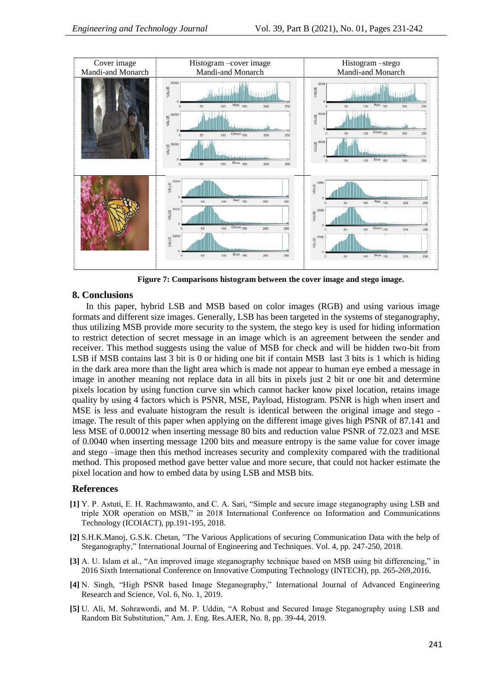

**Figure 7: Comparisons histogram between the cover image and stego image.**

## **8. Conclusions**

In this paper, hybrid LSB and MSB based on color images (RGB) and using various image formats and different size images. Generally, LSB has been targeted in the systems of steganography, thus utilizing MSB provide more security to the system, the stego key is used for hiding information to restrict detection of secret message in an image which is an agreement between the sender and receiver. This method suggests using the value of MSB for check and will be hidden two-bit from LSB if MSB contains last 3 bit is 0 or hiding one bit if contain MSB last 3 bits is 1 which is hiding in the dark area more than the light area which is made not appear to human eye embed a message in image in another meaning not replace data in all bits in pixels just 2 bit or one bit and determine pixels location by using function curve sin which cannot hacker know pixel location, retains image quality by using 4 factors which is PSNR, MSE, Payload, Histogram. PSNR is high when insert and MSE is less and evaluate histogram the result is identical between the original image and stego image. The result of this paper when applying on the different image gives high PSNR of 87.141 and less MSE of 0.00012 when inserting message 80 bits and reduction value PSNR of 72.023 and MSE of 0.0040 when inserting message 1200 bits and measure entropy is the same value for cover image and stego –image then this method increases security and complexity compared with the traditional method. This proposed method gave better value and more secure, that could not hacker estimate the pixel location and how to embed data by using LSB and MSB bits.

# **References**

- **[1]** Y. P. Astuti, E. H. Rachmawanto, and C. A. Sari, "Simple and secure image steganography using LSB and triple XOR operation on MSB," in 2018 International Conference on Information and Communications Technology (ICOIACT), pp.191-195, 2018.
- **[2]** S.H.K.Manoj, G.S.K. Chetan, "The Various Applications of securing Communication Data with the help of Steganography," International Journal of Engineering and Techniques. Vol. 4, pp. 247-250, 2018.
- **[3]** A. U. Islam et al., "An improved image steganography technique based on MSB using bit differencing," in 2016 Sixth International Conference on Innovative Computing Technology (INTECH), pp. 265-269,2016.
- **[4]** N. Singh, "High PSNR based Image Steganography," International Journal of Advanced Engineering Research and Science, Vol. 6, No. 1, 2019.
- **[5]** U. Ali, M. Sohrawordi, and M. P. Uddin, "A Robust and Secured Image Steganography using LSB and Random Bit Substitution," Am. J. Eng. Res.AJER, No. 8, pp. 39-44, 2019.